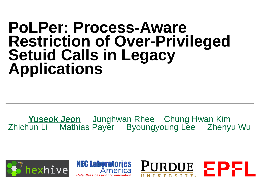### **PoLPer: Process-Aware Restriction of Over-Privileged Setuid Calls in Legacy Applications**

**Yuseok Jeon** Junghwan Rhee Chung Hwan Kim Zhichun LiMathias PayerByoungyoung LeeZhenyu Wu



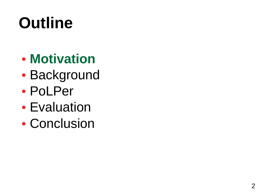- **Motivation**
- Background
- PoLPer
- Evaluation
- Conclusion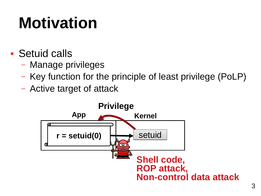# **Motivation**

- Setuid calls
	- Manage privileges
	- Key function for the principle of least privilege (PoLP)
	- Active target of attack

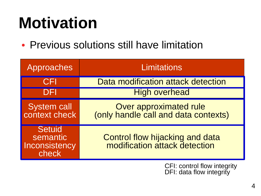## **Motivation**

• Previous solutions still have limitation

| Approaches                                   | Limitations                                                      |
|----------------------------------------------|------------------------------------------------------------------|
| <b>CFI</b>                                   | Data modification attack detection                               |
| DEI                                          | <b>High overhead</b>                                             |
| System call<br>context check                 | Over approximated rule<br>(only handle call and data contexts)   |
| Setuid<br>semantic<br>Inconsistency<br>check | Control flow hijacking and data<br>modification attack detection |

CFI: control flow integrity DFI: data flow integrity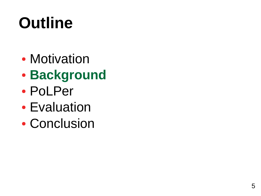- Motivation
- **Background**
- PoLPer
- Evaluation
- Conclusion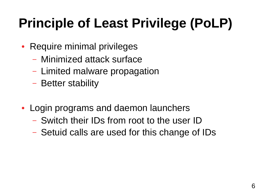### **Principle of Least Privilege (PoLP)**

- Require minimal privileges
	- Minimized attack surface
	- Limited malware propagation
	- Better stability
- Login programs and daemon launchers
	- Switch their IDs from root to the user ID
	- Setuid calls are used for this change of IDs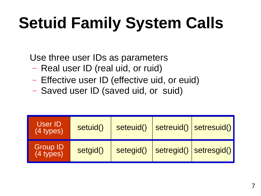# **Setuid Family System Calls**

Use three user IDs as parameters

- Real user ID (real uid, or ruid)
- Effective user ID (effective uid, or euid)
- Saved user ID (saved uid, or suid)

| User ID<br>(4 types)           | setuid() | seteuid() | setreuid() | setresuid() |
|--------------------------------|----------|-----------|------------|-------------|
| <b>Group ID</b><br>$(4$ types) | setgid() | setegid() | setregid() | setresgid() |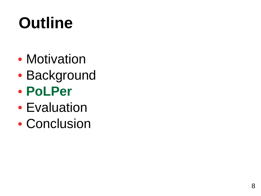- Motivation
- Background
- **PoLPer**
- Evaluation
- Conclusion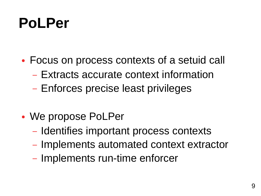### **PoLPer**

- Focus on process contexts of a setuid call
	- Extracts accurate context information
	- Enforces precise least privileges
- We propose PoLPer
	- Identifies important process contexts
	- Implements automated context extractor
	- Implements run-time enforcer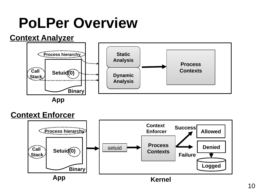### **PoLPer Overview**

#### **Context Analyzer**



**App**

#### **Context Enforcer**

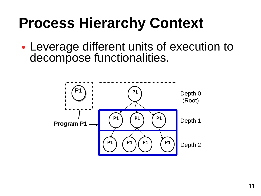### **Process Hierarchy Context**

• Leverage different units of execution to decompose functionalities.

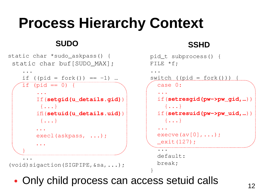### **Process Hierarchy Context**

#### **SUDO**

```
static char *sudo_askpass() {
 static char buf[SUDO_MAX];
 ...
    if ((pid = fork()) == -1) ...
    if (pid == 0) {
 ... 
        If(setgid(u_details.gid)) 
         {...}
        ifi(setuid(u_details.uid)) 
         {...}
 ...
        execl(askpass, ...);
 ...
)<br>}<br>}
 ...
```
(void)sigaction(SIGPIPE,&sa,...);

#### **SSHD**

```
 pid_t subprocess() {
  FILE *f;
 ... 
  switch ((pid = fork()) ) {
     case 0:
 ... 
     if(setresgid(pw->pw_gid,…)) 
       {...}
     if(setresuid(pw->pw_uid,…)) 
       {...}
 ... 
    execve(av[0], \ldots); _exit(127);
 ... 
     default:
```
break;

}

 $\frac{12}{2}$ • Only child process can access setuid calls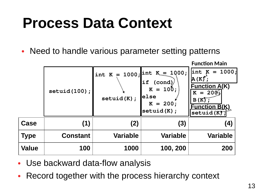### **Process Data Context**

• Need to handle various parameter setting patterns

| <b>Function Main</b>                                                                  |
|---------------------------------------------------------------------------------------|
| $= 1000;$<br><b>Function A(K)</b><br>$K = 200j$<br><b>Function B(K)</b><br>setuid (K) |
| (4)                                                                                   |
| <b>Variable</b>                                                                       |
| 200                                                                                   |
|                                                                                       |

- Use backward data-flow analysis
- Record together with the process hierarchy context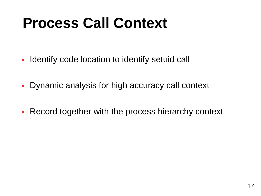### **Process Call Context**

- Identify code location to identify setuid call
- Dynamic analysis for high accuracy call context
- Record together with the process hierarchy context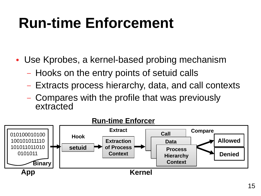### **Run-time Enforcement**

• Use Kprobes, a kernel-based probing mechanism

- Hooks on the entry points of setuid calls
- Extracts process hierarchy, data, and call contexts
- Compares with the profile that was previously extracted

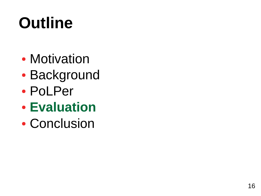- Motivation
- Background
- PoLPer
- **Evaluation**
- Conclusion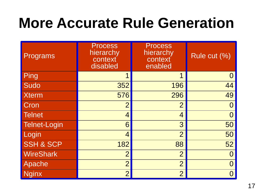### **More Accurate Rule Generation**

| <b>Programs</b>      | <b>Process</b><br>hierarchy<br>context<br>disabled | <b>Process</b><br>hierarchy<br>context<br>enabled | Rule cut (%) |
|----------------------|----------------------------------------------------|---------------------------------------------------|--------------|
| Ping                 | 1                                                  | $\mathbf 1$                                       |              |
| Sudo                 | 352                                                | 196                                               | 44           |
| <b>Xterm</b>         | 576                                                | 296                                               | 49           |
| Cron                 | $\overline{2}$                                     | $\overline{2}$                                    |              |
| <b>Telnet</b>        | $\overline{4}$                                     | $\overline{4}$                                    |              |
| <b>Telnet-Login</b>  | 6                                                  | 3                                                 | 50           |
| Login                | $\overline{4}$                                     | $\overline{2}$                                    | 50           |
| <b>SSH &amp; SCP</b> | 182                                                | 88                                                | 52           |
| <b>WireShark</b>     | $\overline{2}$                                     | $\overline{2}$                                    |              |
| Apache               | $\overline{2}$                                     | $\overline{2}$                                    |              |
| <b>Nginx</b>         | $\overline{2}$                                     | $\overline{2}$                                    |              |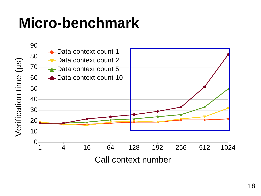### **Micro-benchmark**

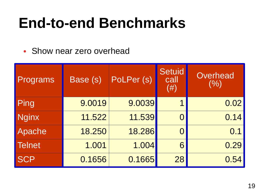### **End-to-end Benchmarks**

• Show near zero overhead

| Programs      | Base (s) | PoLPer (S) | <b>Setuid</b><br>call<br>$(\#)$ | Overhead<br>(9/0) |  |
|---------------|----------|------------|---------------------------------|-------------------|--|
| Ping          | 9.0019   | 9.0039     | 1                               | 0.02              |  |
| Nginx         | 11.522   | 11.539     | $\bigcap$                       | 0.14              |  |
| Apache        | 18.250   | 18.286     | 0                               | 0.1               |  |
| <b>Telnet</b> | 1.001    | 1.004      | 6                               | 0.29              |  |
| <b>SCP</b>    | 0.1656   | 0.1665     | 28                              | 0.54              |  |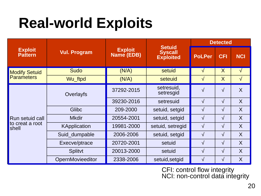### **Real-world Exploits**

|                                             |                     | <b>Exploit</b><br>Name (EDB) | <b>Setuid</b><br><b>Syscall</b><br><b>Exploited</b> | <b>Detected</b> |            |                |
|---------------------------------------------|---------------------|------------------------------|-----------------------------------------------------|-----------------|------------|----------------|
| <b>Exploit</b><br><b>Pattern</b>            | <b>Vul. Program</b> |                              |                                                     | <b>PoLPer</b>   | <b>CFI</b> | <b>NCI</b>     |
| <b>Modify Setuid</b><br><b>Parameters</b>   | <b>Sudo</b>         | (N/A)                        | setuid                                              | √               | $\sf X$    | $\sqrt{}$      |
|                                             | Wu ftpd             | (N/A)                        | seteuid                                             | $\sqrt{ }$      | $\sf X$    | $\sqrt{}$      |
| Run setuid call<br>to creat a root<br>shell | Overlayfs           | 37292-2015                   | setresuid,<br>setresgid                             | $\sqrt{}$       | $\sqrt{}$  | $\overline{X}$ |
|                                             |                     | 39230-2016                   | setresuid                                           | $\sqrt{}$       | $\sqrt{}$  | $\overline{X}$ |
|                                             | <b>Glibc</b>        | 209-2000                     | setuid, setgid                                      | $\sqrt{}$       | $\sqrt{}$  | X              |
|                                             | <b>Mkdir</b>        | 20554-2001                   | setuid, setgid                                      | $\sqrt{}$       | $\sqrt{}$  | $\overline{X}$ |
|                                             | <b>KApplication</b> | 19981-2000                   | setuid, setregid                                    | $\sqrt{ }$      | $\sqrt{}$  | X              |
|                                             | Suid dumpable       | 2006-2006                    | setuid, setgid                                      | $\sqrt{}$       | $\sqrt{}$  | $\overline{X}$ |
|                                             | Execve/ptrace       | 20720-2001                   | setuid                                              | $\sqrt{}$       | $\sqrt{}$  | $\overline{X}$ |
|                                             | Splitvt             | 20013-2000                   | setuid                                              | $\sqrt{ }$      | $\sqrt{}$  | $\overline{X}$ |
|                                             | OpernMovieeditor    | 2338-2006                    | setuid, setgid                                      | $\sqrt{}$       | $\sqrt{}$  | $\sf X$        |

CFI: control flow integrity NCI: non-control data integrity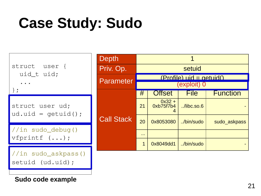### **Case Study: Sudo**



**Sudo code example**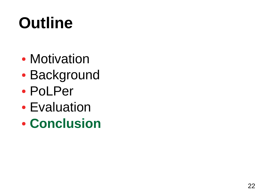- Motivation
- Background
- PoLPer
- Evaluation
- **Conclusion**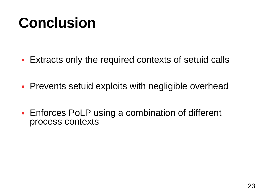### **Conclusion**

- Extracts only the required contexts of setuid calls
- Prevents setuid exploits with negligible overhead
- Enforces PoLP using a combination of different process contexts